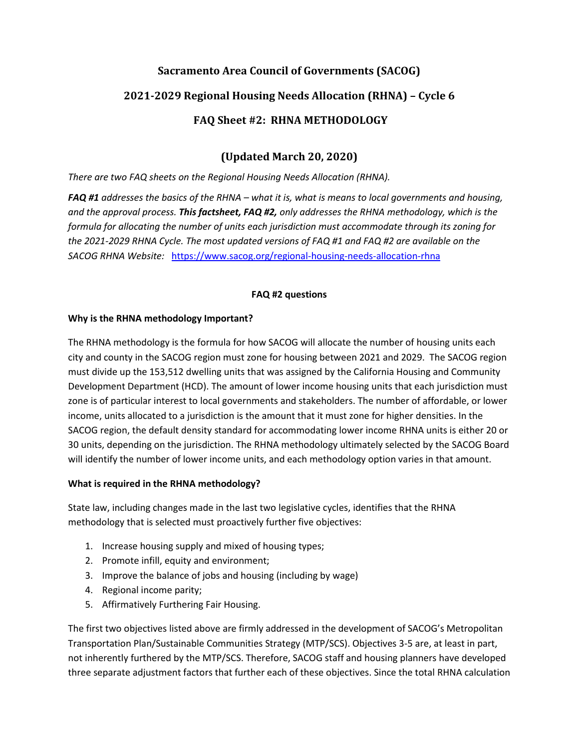# **Sacramento Area Council of Governments (SACOG) 2021-2029 Regional Housing Needs Allocation (RHNA) – Cycle 6 FAQ Sheet #2: RHNA METHODOLOGY**

## **(Updated March 20, 2020)**

*There are two FAQ sheets on the Regional Housing Needs Allocation (RHNA).* 

*FAQ #1 addresses the basics of the RHNA – what it is, what is means to local governments and housing, and the approval process. This factsheet, FAQ #2, only addresses the RHNA methodology, which is the formula for allocating the number of units each jurisdiction must accommodate through its zoning for the 2021-2029 RHNA Cycle. The most updated versions of FAQ #1 and FAQ #2 are available on the SACOG RHNA Website:* <https://www.sacog.org/regional-housing-needs-allocation-rhna>

## **FAQ #2 questions**

## **Why is the RHNA methodology Important?**

The RHNA methodology is the formula for how SACOG will allocate the number of housing units each city and county in the SACOG region must zone for housing between 2021 and 2029. The SACOG region must divide up the 153,512 dwelling units that was assigned by the California Housing and Community Development Department (HCD). The amount of lower income housing units that each jurisdiction must zone is of particular interest to local governments and stakeholders. The number of affordable, or lower income, units allocated to a jurisdiction is the amount that it must zone for higher densities. In the SACOG region, the default density standard for accommodating lower income RHNA units is either 20 or 30 units, depending on the jurisdiction. The RHNA methodology ultimately selected by the SACOG Board will identify the number of lower income units, and each methodology option varies in that amount.

## **What is required in the RHNA methodology?**

State law, including changes made in the last two legislative cycles, identifies that the RHNA methodology that is selected must proactively further five objectives:

- 1. Increase housing supply and mixed of housing types;
- 2. Promote infill, equity and environment;
- 3. Improve the balance of jobs and housing (including by wage)
- 4. Regional income parity;
- 5. Affirmatively Furthering Fair Housing.

The first two objectives listed above are firmly addressed in the development of SACOG's Metropolitan Transportation Plan/Sustainable Communities Strategy (MTP/SCS). Objectives 3-5 are, at least in part, not inherently furthered by the MTP/SCS. Therefore, SACOG staff and housing planners have developed three separate adjustment factors that further each of these objectives. Since the total RHNA calculation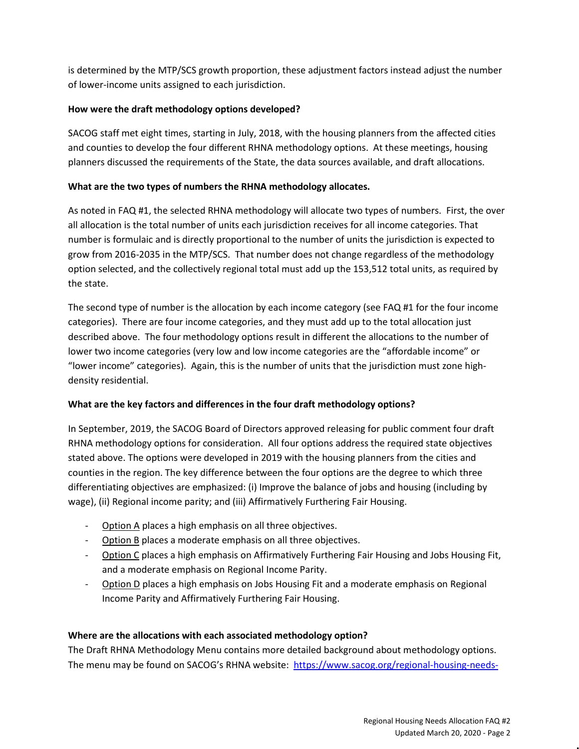is determined by the MTP/SCS growth proportion, these adjustment factors instead adjust the number of lower-income units assigned to each jurisdiction.

#### **How were the draft methodology options developed?**

SACOG staff met eight times, starting in July, 2018, with the housing planners from the affected cities and counties to develop the four different RHNA methodology options. At these meetings, housing planners discussed the requirements of the State, the data sources available, and draft allocations.

#### **What are the two types of numbers the RHNA methodology allocates.**

As noted in FAQ #1, the selected RHNA methodology will allocate two types of numbers. First, the over all allocation is the total number of units each jurisdiction receives for all income categories. That number is formulaic and is directly proportional to the number of units the jurisdiction is expected to grow from 2016-2035 in the MTP/SCS. That number does not change regardless of the methodology option selected, and the collectively regional total must add up the 153,512 total units, as required by the state.

The second type of number is the allocation by each income category (see FAQ #1 for the four income categories). There are four income categories, and they must add up to the total allocation just described above. The four methodology options result in different the allocations to the number of lower two income categories (very low and low income categories are the "affordable income" or "lower income" categories). Again, this is the number of units that the jurisdiction must zone highdensity residential.

#### **What are the key factors and differences in the four draft methodology options?**

In September, 2019, the SACOG Board of Directors approved releasing for public comment four draft RHNA methodology options for consideration. All four options address the required state objectives stated above. The options were developed in 2019 with the housing planners from the cities and counties in the region. The key difference between the four options are the degree to which three differentiating objectives are emphasized: (i) Improve the balance of jobs and housing (including by wage), (ii) Regional income parity; and (iii) Affirmatively Furthering Fair Housing.

- Option A places a high emphasis on all three objectives.
- Option B places a moderate emphasis on all three objectives.
- Option C places a high emphasis on Affirmatively Furthering Fair Housing and Jobs Housing Fit, and a moderate emphasis on Regional Income Parity.
- Option D places a high emphasis on Jobs Housing Fit and a moderate emphasis on Regional Income Parity and Affirmatively Furthering Fair Housing.

#### **Where are the allocations with each associated methodology option?**

The Draft RHNA Methodology Menu contains more detailed background about methodology options. The menu may be found on SACOG's RHNA website: [https://www.sacog.org/regional-housing-needs-](https://www.sacog.org/regional-housing-needs-allocation-rhna)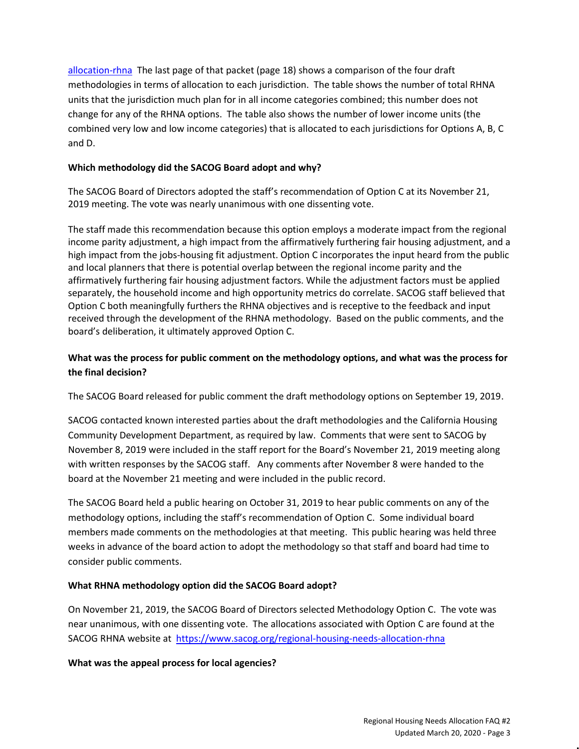[allocation-rhna](https://www.sacog.org/regional-housing-needs-allocation-rhna) The last page of that packet (page 18) shows a comparison of the four draft methodologies in terms of allocation to each jurisdiction. The table shows the number of total RHNA units that the jurisdiction much plan for in all income categories combined; this number does not change for any of the RHNA options. The table also shows the number of lower income units (the combined very low and low income categories) that is allocated to each jurisdictions for Options A, B, C and D.

#### **Which methodology did the SACOG Board adopt and why?**

The SACOG Board of Directors adopted the staff's recommendation of Option C at its November 21, 2019 meeting. The vote was nearly unanimous with one dissenting vote.

The staff made this recommendation because this option employs a moderate impact from the regional income parity adjustment, a high impact from the affirmatively furthering fair housing adjustment, and a high impact from the jobs-housing fit adjustment. Option C incorporates the input heard from the public and local planners that there is potential overlap between the regional income parity and the affirmatively furthering fair housing adjustment factors. While the adjustment factors must be applied separately, the household income and high opportunity metrics do correlate. SACOG staff believed that Option C both meaningfully furthers the RHNA objectives and is receptive to the feedback and input received through the development of the RHNA methodology. Based on the public comments, and the board's deliberation, it ultimately approved Option C.

## **What was the process for public comment on the methodology options, and what was the process for the final decision?**

The SACOG Board released for public comment the draft methodology options on September 19, 2019.

SACOG contacted known interested parties about the draft methodologies and the California Housing Community Development Department, as required by law. Comments that were sent to SACOG by November 8, 2019 were included in the staff report for the Board's November 21, 2019 meeting along with written responses by the SACOG staff. Any comments after November 8 were handed to the board at the November 21 meeting and were included in the public record.

The SACOG Board held a public hearing on October 31, 2019 to hear public comments on any of the methodology options, including the staff's recommendation of Option C. Some individual board members made comments on the methodologies at that meeting. This public hearing was held three weeks in advance of the board action to adopt the methodology so that staff and board had time to consider public comments.

## **What RHNA methodology option did the SACOG Board adopt?**

On November 21, 2019, the SACOG Board of Directors selected Methodology Option C. The vote was near unanimous, with one dissenting vote. The allocations associated with Option C are found at the SACOG RHNA website at <https://www.sacog.org/regional-housing-needs-allocation-rhna>

## **What was the appeal process for local agencies?**